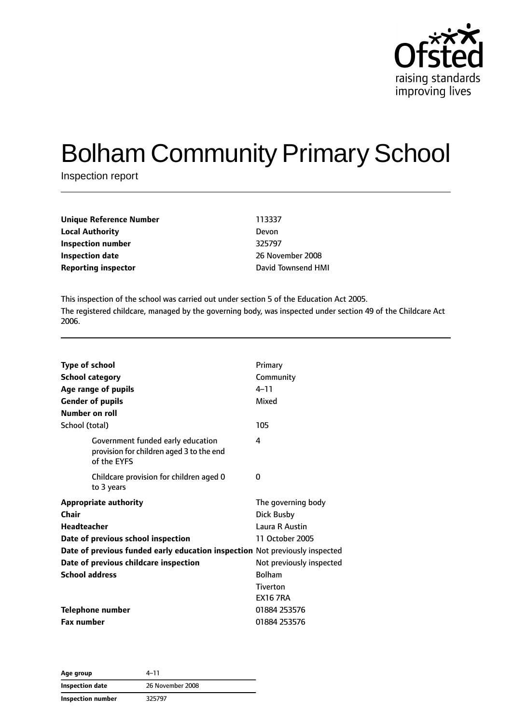

# Bolham Community Primary School

Inspection report

| 113337             |
|--------------------|
| Devon              |
| 325797             |
| 26 November 2008   |
| David Townsend HMI |
|                    |

This inspection of the school was carried out under section 5 of the Education Act 2005. The registered childcare, managed by the governing body, was inspected under section 49 of the Childcare Act 2006.

| <b>Type of school</b><br><b>School category</b><br>Age range of pupils<br><b>Gender of pupils</b> | Primary<br>Community<br>$4 - 11$<br>Mixed |
|---------------------------------------------------------------------------------------------------|-------------------------------------------|
| <b>Number on roll</b>                                                                             |                                           |
| School (total)                                                                                    | 105                                       |
| Government funded early education<br>provision for children aged 3 to the end<br>of the EYFS      | 4                                         |
| Childcare provision for children aged 0<br>to 3 years                                             | 0                                         |
| <b>Appropriate authority</b>                                                                      | The governing body                        |
| Chair                                                                                             | Dick Busby                                |
| <b>Headteacher</b>                                                                                | Laura R Austin                            |
| Date of previous school inspection                                                                | 11 October 2005                           |
| Date of previous funded early education inspection Not previously inspected                       |                                           |
| Date of previous childcare inspection                                                             | Not previously inspected                  |
| <b>School address</b>                                                                             | <b>Bolham</b>                             |
|                                                                                                   | <b>Tiverton</b>                           |
|                                                                                                   | <b>EX16 7RA</b>                           |
| <b>Telephone number</b>                                                                           | 01884 253576                              |
| <b>Fax number</b>                                                                                 | 01884 253576                              |

**Age group** 4–11 **Inspection date** 26 November 2008 **Inspection number** 325797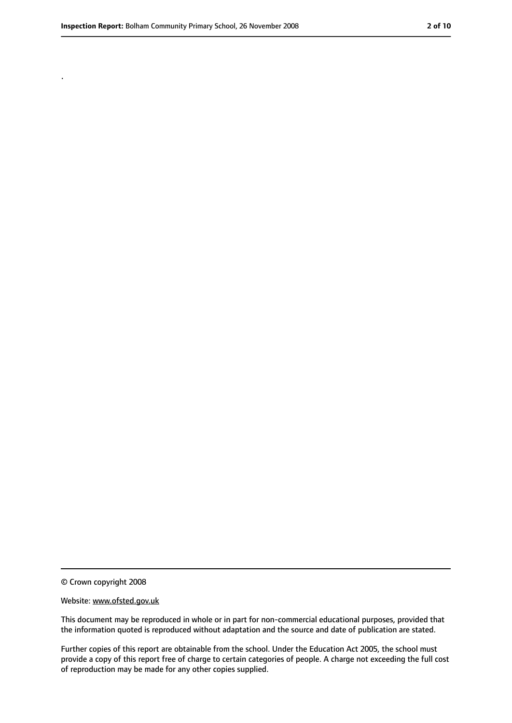.

<sup>©</sup> Crown copyright 2008

Website: www.ofsted.gov.uk

This document may be reproduced in whole or in part for non-commercial educational purposes, provided that the information quoted is reproduced without adaptation and the source and date of publication are stated.

Further copies of this report are obtainable from the school. Under the Education Act 2005, the school must provide a copy of this report free of charge to certain categories of people. A charge not exceeding the full cost of reproduction may be made for any other copies supplied.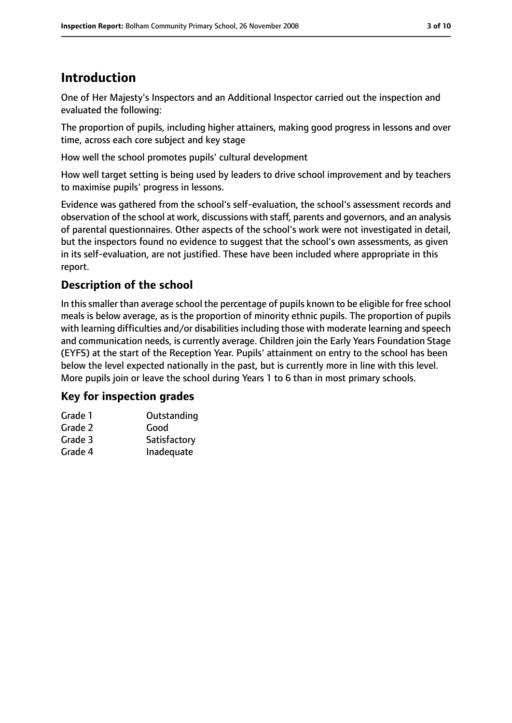## **Introduction**

One of Her Majesty's Inspectors and an Additional Inspector carried out the inspection and evaluated the following:

The proportion of pupils, including higher attainers, making good progress in lessons and over time, across each core subject and key stage

How well the school promotes pupils' cultural development

How well target setting is being used by leaders to drive school improvement and by teachers to maximise pupils' progress in lessons.

Evidence was gathered from the school's self-evaluation, the school's assessment records and observation of the school at work, discussions with staff, parents and governors, and an analysis of parental questionnaires. Other aspects of the school's work were not investigated in detail, but the inspectors found no evidence to suggest that the school's own assessments, as given in its self-evaluation, are not justified. These have been included where appropriate in this report.

## **Description of the school**

In this smaller than average school the percentage of pupils known to be eligible for free school meals is below average, as is the proportion of minority ethnic pupils. The proportion of pupils with learning difficulties and/or disabilities including those with moderate learning and speech and communication needs, is currently average. Children join the Early Years Foundation Stage (EYFS) at the start of the Reception Year. Pupils' attainment on entry to the school has been below the level expected nationally in the past, but is currently more in line with this level. More pupils join or leave the school during Years 1 to 6 than in most primary schools.

#### **Key for inspection grades**

| Outstanding  |
|--------------|
| Good         |
| Satisfactory |
| Inadequate   |
|              |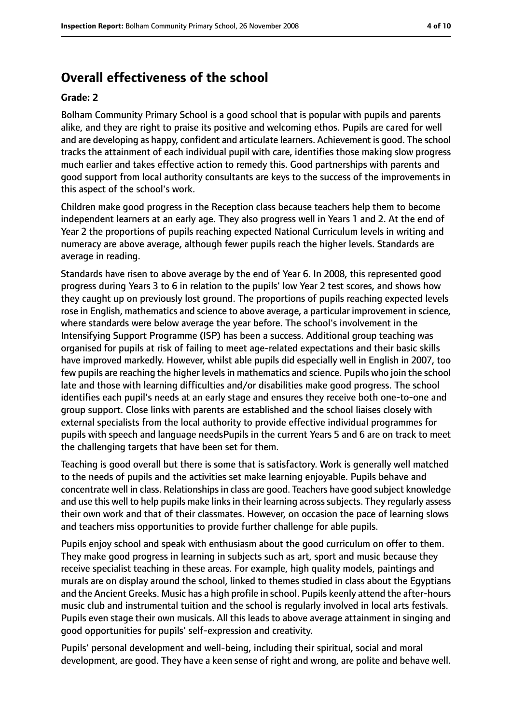## **Overall effectiveness of the school**

#### **Grade: 2**

Bolham Community Primary School is a good school that is popular with pupils and parents alike, and they are right to praise its positive and welcoming ethos. Pupils are cared for well and are developing as happy, confident and articulate learners. Achievement is good. The school tracks the attainment of each individual pupil with care, identifies those making slow progress much earlier and takes effective action to remedy this. Good partnerships with parents and good support from local authority consultants are keys to the success of the improvements in this aspect of the school's work.

Children make good progress in the Reception class because teachers help them to become independent learners at an early age. They also progress well in Years 1 and 2. At the end of Year 2 the proportions of pupils reaching expected National Curriculum levels in writing and numeracy are above average, although fewer pupils reach the higher levels. Standards are average in reading.

Standards have risen to above average by the end of Year 6. In 2008, this represented good progress during Years 3 to 6 in relation to the pupils' low Year 2 test scores, and shows how they caught up on previously lost ground. The proportions of pupils reaching expected levels rose in English, mathematics and science to above average, a particular improvement in science, where standards were below average the year before. The school's involvement in the Intensifying Support Programme (ISP) has been a success. Additional group teaching was organised for pupils at risk of failing to meet age-related expectations and their basic skills have improved markedly. However, whilst able pupils did especially well in English in 2007, too few pupils are reaching the higher levels in mathematics and science. Pupils who join the school late and those with learning difficulties and/or disabilities make good progress. The school identifies each pupil's needs at an early stage and ensures they receive both one-to-one and group support. Close links with parents are established and the school liaises closely with external specialists from the local authority to provide effective individual programmes for pupils with speech and language needsPupils in the current Years 5 and 6 are on track to meet the challenging targets that have been set for them.

Teaching is good overall but there is some that is satisfactory. Work is generally well matched to the needs of pupils and the activities set make learning enjoyable. Pupils behave and concentrate well in class. Relationships in class are good. Teachers have good subject knowledge and use this well to help pupils make links in their learning across subjects. They regularly assess their own work and that of their classmates. However, on occasion the pace of learning slows and teachers miss opportunities to provide further challenge for able pupils.

Pupils enjoy school and speak with enthusiasm about the good curriculum on offer to them. They make good progress in learning in subjects such as art, sport and music because they receive specialist teaching in these areas. For example, high quality models, paintings and murals are on display around the school, linked to themes studied in class about the Egyptians and the Ancient Greeks. Music has a high profile in school. Pupils keenly attend the after-hours music club and instrumental tuition and the school is regularly involved in local arts festivals. Pupils even stage their own musicals. All this leads to above average attainment in singing and good opportunities for pupils' self-expression and creativity.

Pupils' personal development and well-being, including their spiritual, social and moral development, are good. They have a keen sense of right and wrong, are polite and behave well.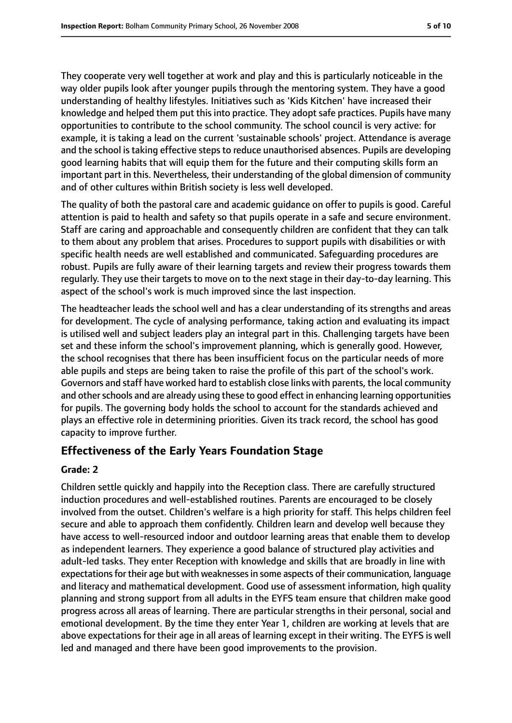They cooperate very well together at work and play and this is particularly noticeable in the way older pupils look after younger pupils through the mentoring system. They have a good understanding of healthy lifestyles. Initiatives such as 'Kids Kitchen' have increased their knowledge and helped them put this into practice. They adopt safe practices. Pupils have many opportunities to contribute to the school community. The school council is very active: for example, it is taking a lead on the current 'sustainable schools' project. Attendance is average and the school is taking effective steps to reduce unauthorised absences. Pupils are developing good learning habits that will equip them for the future and their computing skills form an important part in this. Nevertheless, their understanding of the global dimension of community and of other cultures within British society is less well developed.

The quality of both the pastoral care and academic guidance on offer to pupils is good. Careful attention is paid to health and safety so that pupils operate in a safe and secure environment. Staff are caring and approachable and consequently children are confident that they can talk to them about any problem that arises. Procedures to support pupils with disabilities or with specific health needs are well established and communicated. Safeguarding procedures are robust. Pupils are fully aware of their learning targets and review their progress towards them regularly. They use their targets to move on to the next stage in their day-to-day learning. This aspect of the school's work is much improved since the last inspection.

The headteacher leads the school well and has a clear understanding of its strengths and areas for development. The cycle of analysing performance, taking action and evaluating its impact is utilised well and subject leaders play an integral part in this. Challenging targets have been set and these inform the school's improvement planning, which is generally good. However, the school recognises that there has been insufficient focus on the particular needs of more able pupils and steps are being taken to raise the profile of this part of the school's work. Governors and staff have worked hard to establish close links with parents, the local community and other schools and are already using these to good effect in enhancing learning opportunities for pupils. The governing body holds the school to account for the standards achieved and plays an effective role in determining priorities. Given its track record, the school has good capacity to improve further.

#### **Effectiveness of the Early Years Foundation Stage**

#### **Grade: 2**

Children settle quickly and happily into the Reception class. There are carefully structured induction procedures and well-established routines. Parents are encouraged to be closely involved from the outset. Children's welfare is a high priority for staff. This helps children feel secure and able to approach them confidently. Children learn and develop well because they have access to well-resourced indoor and outdoor learning areas that enable them to develop as independent learners. They experience a good balance of structured play activities and adult-led tasks. They enter Reception with knowledge and skills that are broadly in line with expectations for their age but with weaknesses in some aspects of their communication, language and literacy and mathematical development. Good use of assessment information, high quality planning and strong support from all adults in the EYFS team ensure that children make good progress across all areas of learning. There are particular strengths in their personal, social and emotional development. By the time they enter Year 1, children are working at levels that are above expectations for their age in all areas of learning except in their writing. The EYFS is well led and managed and there have been good improvements to the provision.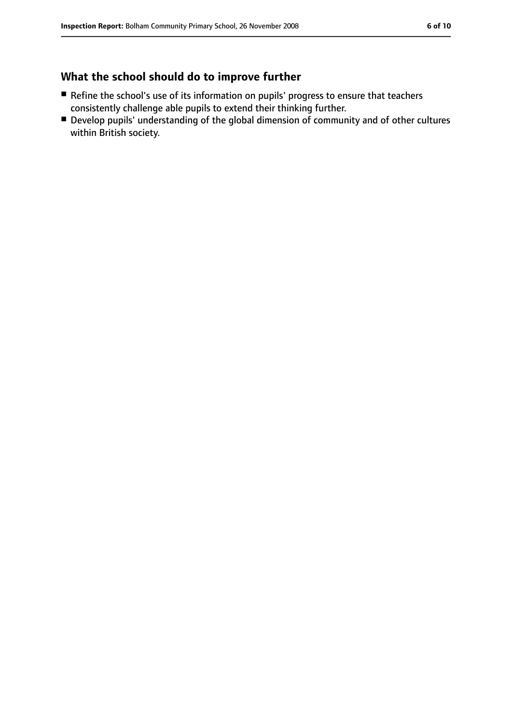## **What the school should do to improve further**

- Refine the school's use of its information on pupils' progress to ensure that teachers consistently challenge able pupils to extend their thinking further.
- Develop pupils' understanding of the global dimension of community and of other cultures within British society.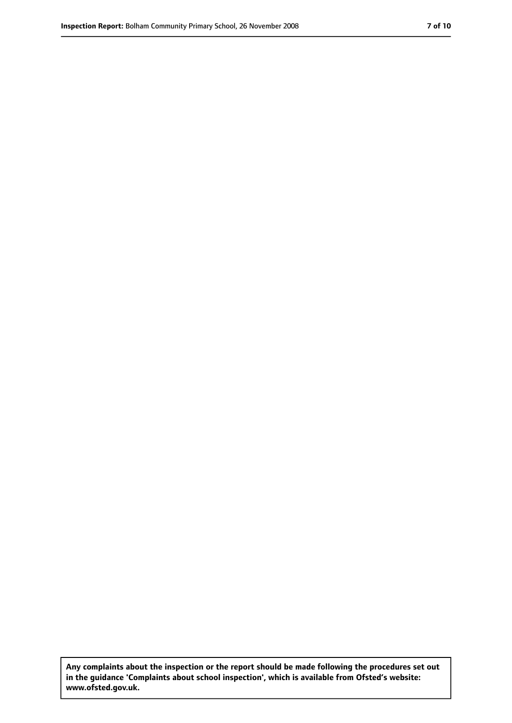**Any complaints about the inspection or the report should be made following the procedures set out in the guidance 'Complaints about school inspection', which is available from Ofsted's website: www.ofsted.gov.uk.**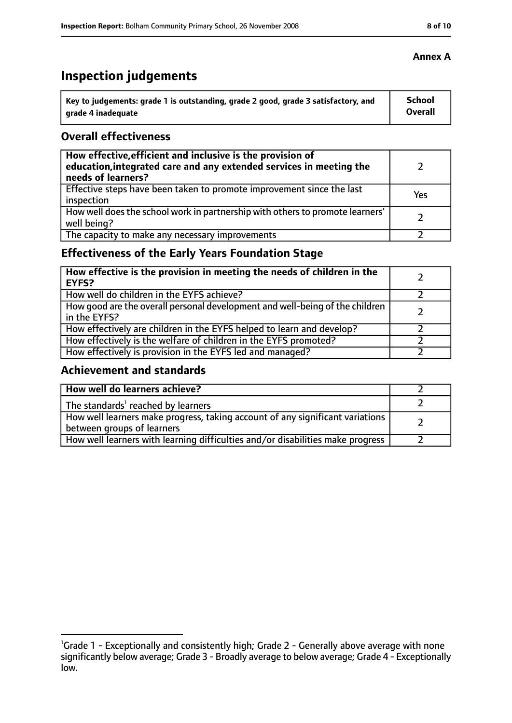## **Inspection judgements**

| Key to judgements: grade 1 is outstanding, grade 2 good, grade 3 satisfactory, and | <b>School</b>  |
|------------------------------------------------------------------------------------|----------------|
| arade 4 inadequate                                                                 | <b>Overall</b> |

#### **Overall effectiveness**

| How effective, efficient and inclusive is the provision of<br>education, integrated care and any extended services in meeting the<br>needs of learners? |     |
|---------------------------------------------------------------------------------------------------------------------------------------------------------|-----|
| Effective steps have been taken to promote improvement since the last<br>inspection                                                                     | Yes |
| How well does the school work in partnership with others to promote learners'<br>well being?                                                            |     |
| The capacity to make any necessary improvements                                                                                                         |     |

## **Effectiveness of the Early Years Foundation Stage**

| How effective is the provision in meeting the needs of children in the<br><b>EYFS?</b>       |  |
|----------------------------------------------------------------------------------------------|--|
| How well do children in the EYFS achieve?                                                    |  |
| How good are the overall personal development and well-being of the children<br>in the EYFS? |  |
| How effectively are children in the EYFS helped to learn and develop?                        |  |
| How effectively is the welfare of children in the EYFS promoted?                             |  |
| How effectively is provision in the EYFS led and managed?                                    |  |

#### **Achievement and standards**

| How well do learners achieve?                                                                               |  |
|-------------------------------------------------------------------------------------------------------------|--|
| The standards <sup>1</sup> reached by learners                                                              |  |
| How well learners make progress, taking account of any significant variations<br>between groups of learners |  |
| How well learners with learning difficulties and/or disabilities make progress                              |  |

#### **Annex A**

<sup>&</sup>lt;sup>1</sup>Grade 1 - Exceptionally and consistently high; Grade 2 - Generally above average with none significantly below average; Grade 3 - Broadly average to below average; Grade 4 - Exceptionally low.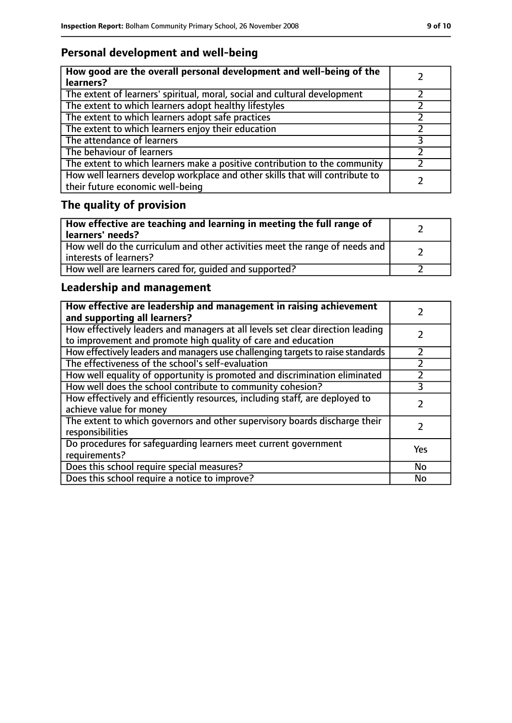## **Personal development and well-being**

| How good are the overall personal development and well-being of the<br>learners?                                 |  |
|------------------------------------------------------------------------------------------------------------------|--|
| The extent of learners' spiritual, moral, social and cultural development                                        |  |
| The extent to which learners adopt healthy lifestyles                                                            |  |
| The extent to which learners adopt safe practices                                                                |  |
| The extent to which learners enjoy their education                                                               |  |
| The attendance of learners                                                                                       |  |
| The behaviour of learners                                                                                        |  |
| The extent to which learners make a positive contribution to the community                                       |  |
| How well learners develop workplace and other skills that will contribute to<br>their future economic well-being |  |

# **The quality of provision**

| How effective are teaching and learning in meeting the full range of<br>learners' needs?              |  |
|-------------------------------------------------------------------------------------------------------|--|
| How well do the curriculum and other activities meet the range of needs and<br>interests of learners? |  |
| How well are learners cared for, quided and supported?                                                |  |

## **Leadership and management**

| How effective are leadership and management in raising achievement<br>and supporting all learners?                                              |     |
|-------------------------------------------------------------------------------------------------------------------------------------------------|-----|
| How effectively leaders and managers at all levels set clear direction leading<br>to improvement and promote high quality of care and education |     |
| How effectively leaders and managers use challenging targets to raise standards                                                                 |     |
| The effectiveness of the school's self-evaluation                                                                                               |     |
| How well equality of opportunity is promoted and discrimination eliminated                                                                      |     |
| How well does the school contribute to community cohesion?                                                                                      | 3   |
| How effectively and efficiently resources, including staff, are deployed to<br>achieve value for money                                          |     |
| The extent to which governors and other supervisory boards discharge their<br>responsibilities                                                  |     |
| Do procedures for safequarding learners meet current government<br>requirements?                                                                | Yes |
| Does this school require special measures?                                                                                                      | No  |
| Does this school require a notice to improve?                                                                                                   | No  |